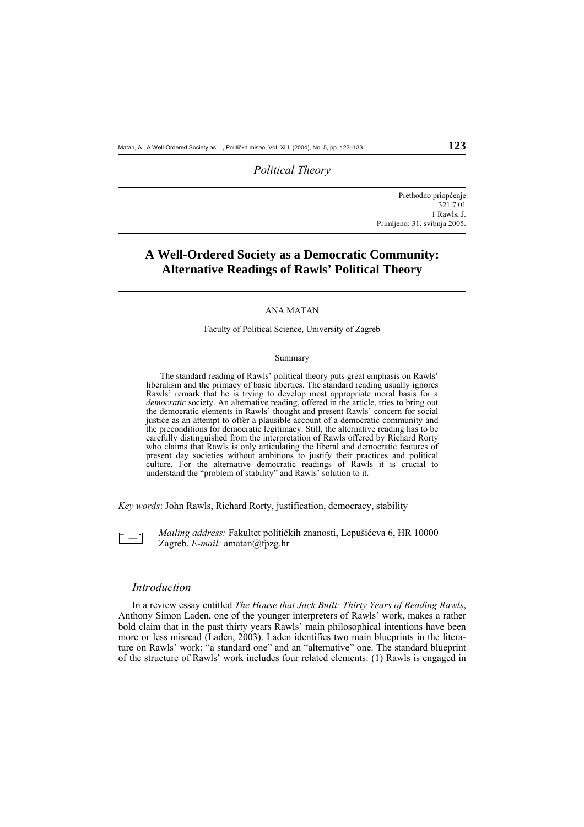## *Political Theory*

 Prethodno priopćenje 321.7.01 1 Rawls, J. Primljeno: 31. svibnja 2005.

# **A Well-Ordered Society as a Democratic Community: Alternative Readings of Rawls' Political Theory**

### ANA MATAN

### Faculty of Political Science, University of Zagreb

#### Summary

 The standard reading of Rawls' political theory puts great emphasis on Rawls' liberalism and the primacy of basic liberties. The standard reading usually ignores Rawls' remark that he is trying to develop most appropriate moral basis for a *democratic* society. An alternative reading, offered in the article, tries to bring out the democratic elements in Rawls' thought and present Rawls' concern for social justice as an attempt to offer a plausible account of a democratic community and the preconditions for democratic legitimacy. Still, the alternative reading has to be carefully distinguished from the interpretation of Rawls offered by Richard Rorty who claims that Rawls is only articulating the liberal and democratic features of present day societies without ambitions to justify their practices and political culture. For the alternative democratic readings of Rawls it is crucial to understand the "problem of stability" and Rawls' solution to it.

*Key words*: John Rawls, Richard Rorty, justification, democracy, stability

 $\frac{1}{2}$ 

l

l

*Mailing address:* Fakultet političkih znanosti, Lepušićeva 6, HR 10000 Zagreb. *E-mail:* amatan@fpzg.hr

## *Introduction*

 In a review essay entitled *The House that Jack Built: Thirty Years of Reading Rawls*, Anthony Simon Laden, one of the younger interpreters of Rawls' work, makes a rather bold claim that in the past thirty years Rawls' main philosophical intentions have been more or less misread (Laden, 2003). Laden identifies two main blueprints in the literature on Rawls' work: "a standard one" and an "alternative" one. The standard blueprint of the structure of Rawls' work includes four related elements: (1) Rawls is engaged in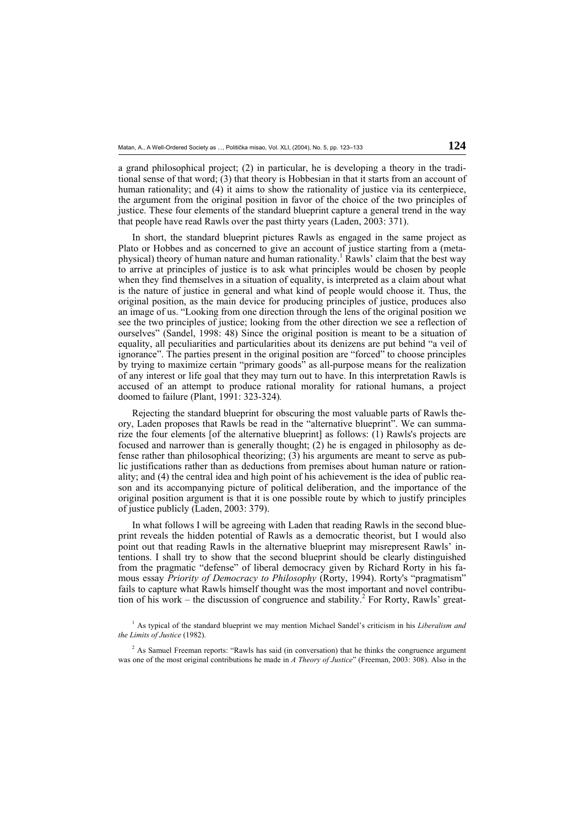a grand philosophical project; (2) in particular, he is developing a theory in the traditional sense of that word; (3) that theory is Hobbesian in that it starts from an account of human rationality; and (4) it aims to show the rationality of justice via its centerpiece, the argument from the original position in favor of the choice of the two principles of justice. These four elements of the standard blueprint capture a general trend in the way that people have read Rawls over the past thirty years (Laden, 2003: 371).

 In short, the standard blueprint pictures Rawls as engaged in the same project as Plato or Hobbes and as concerned to give an account of justice starting from a (metaphysical) theory of human nature and human rationality.<sup>1</sup> Rawls' claim that the best way to arrive at principles of justice is to ask what principles would be chosen by people when they find themselves in a situation of equality, is interpreted as a claim about what is the nature of justice in general and what kind of people would choose it. Thus, the original position, as the main device for producing principles of justice, produces also an image of us. "Looking from one direction through the lens of the original position we see the two principles of justice; looking from the other direction we see a reflection of ourselves" (Sandel, 1998: 48) Since the original position is meant to be a situation of equality, all peculiarities and particularities about its denizens are put behind "a veil of ignorance". The parties present in the original position are "forced" to choose principles by trying to maximize certain "primary goods" as all-purpose means for the realization of any interest or life goal that they may turn out to have. In this interpretation Rawls is accused of an attempt to produce rational morality for rational humans, a project doomed to failure (Plant, 1991: 323-324)*.*

 Rejecting the standard blueprint for obscuring the most valuable parts of Rawls theory, Laden proposes that Rawls be read in the "alternative blueprint". We can summarize the four elements [of the alternative blueprint] as follows: (1) Rawls's projects are focused and narrower than is generally thought; (2) he is engaged in philosophy as defense rather than philosophical theorizing; (3) his arguments are meant to serve as public justifications rather than as deductions from premises about human nature or rationality; and (4) the central idea and high point of his achievement is the idea of public reason and its accompanying picture of political deliberation, and the importance of the original position argument is that it is one possible route by which to justify principles of justice publicly (Laden, 2003: 379).

 In what follows I will be agreeing with Laden that reading Rawls in the second blueprint reveals the hidden potential of Rawls as a democratic theorist, but I would also point out that reading Rawls in the alternative blueprint may misrepresent Rawls' intentions. I shall try to show that the second blueprint should be clearly distinguished from the pragmatic "defense" of liberal democracy given by Richard Rorty in his famous essay *Priority of Democracy to Philosophy* (Rorty, 1994). Rorty's "pragmatism" fails to capture what Rawls himself thought was the most important and novel contribution of his work – the discussion of congruence and stability.<sup>2</sup> For Rorty, Rawls' great-

1 As typical of the standard blueprint we may mention Michael Sandel's criticism in his *Liberalism and the Limits of Justice* (1982).

<sup>2</sup> As Samuel Freeman reports: "Rawls has said (in conversation) that he thinks the congruence argument was one of the most original contributions he made in *A Theory of Justice*" (Freeman, 2003: 308). Also in the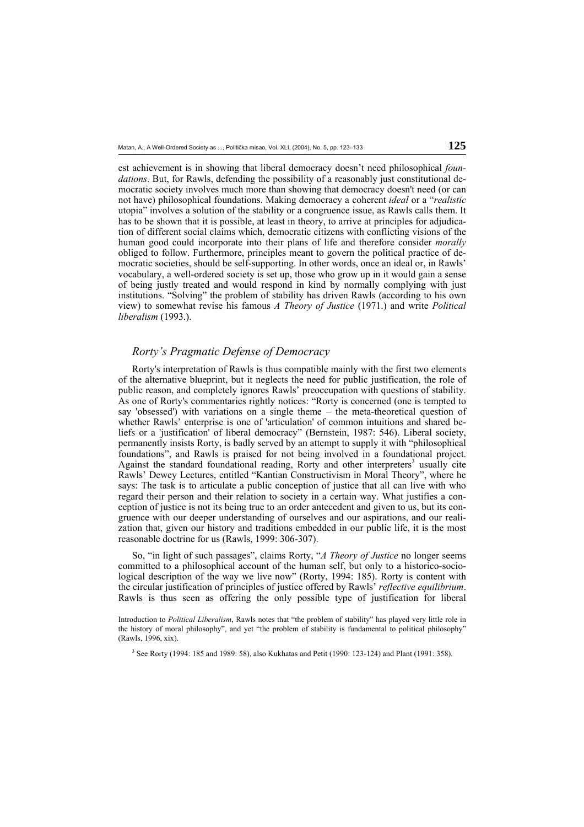est achievement is in showing that liberal democracy doesn't need philosophical *foundations*. But, for Rawls, defending the possibility of a reasonably just constitutional democratic society involves much more than showing that democracy doesn't need (or can not have) philosophical foundations. Making democracy a coherent *ideal* or a "*realistic* utopia" involves a solution of the stability or a congruence issue, as Rawls calls them. It has to be shown that it is possible, at least in theory, to arrive at principles for adjudication of different social claims which, democratic citizens with conflicting visions of the human good could incorporate into their plans of life and therefore consider *morally* obliged to follow. Furthermore, principles meant to govern the political practice of democratic societies, should be self-supporting. In other words, once an ideal or, in Rawls' vocabulary, a well-ordered society is set up, those who grow up in it would gain a sense of being justly treated and would respond in kind by normally complying with just institutions. "Solving" the problem of stability has driven Rawls (according to his own view) to somewhat revise his famous *A Theory of Justice* (1971.) and write *Political liberalism* (1993.).

# *Rorty's Pragmatic Defense of Democracy*

 Rorty's interpretation of Rawls is thus compatible mainly with the first two elements of the alternative blueprint, but it neglects the need for public justification, the role of public reason, and completely ignores Rawls' preoccupation with questions of stability. As one of Rorty's commentaries rightly notices: "Rorty is concerned (one is tempted to say 'obsessed') with variations on a single theme – the meta-theoretical question of whether Rawls' enterprise is one of 'articulation' of common intuitions and shared beliefs or a 'justification' of liberal democracy" (Bernstein, 1987: 546). Liberal society, permanently insists Rorty, is badly served by an attempt to supply it with "philosophical foundations", and Rawls is praised for not being involved in a foundational project. Against the standard foundational reading, Rorty and other interpreters<sup>3</sup> usually cite Rawls' Dewey Lectures, entitled "Kantian Constructivism in Moral Theory", where he says: The task is to articulate a public conception of justice that all can live with who regard their person and their relation to society in a certain way. What justifies a conception of justice is not its being true to an order antecedent and given to us, but its congruence with our deeper understanding of ourselves and our aspirations, and our realization that, given our history and traditions embedded in our public life, it is the most reasonable doctrine for us (Rawls, 1999: 306-307).

 So, "in light of such passages", claims Rorty, "*A Theory of Justice* no longer seems committed to a philosophical account of the human self, but only to a historico-sociological description of the way we live now" (Rorty, 1994: 185). Rorty is content with the circular justification of principles of justice offered by Rawls' *reflective equilibrium*. Rawls is thus seen as offering the only possible type of justification for liberal

Introduction to *Political Liberalism*, Rawls notes that "the problem of stability" has played very little role in the history of moral philosophy", and yet "the problem of stability is fundamental to political philosophy" (Rawls, 1996, xix).

<sup>3</sup> See Rorty (1994: 185 and 1989: 58), also Kukhatas and Petit (1990: 123-124) and Plant (1991: 358).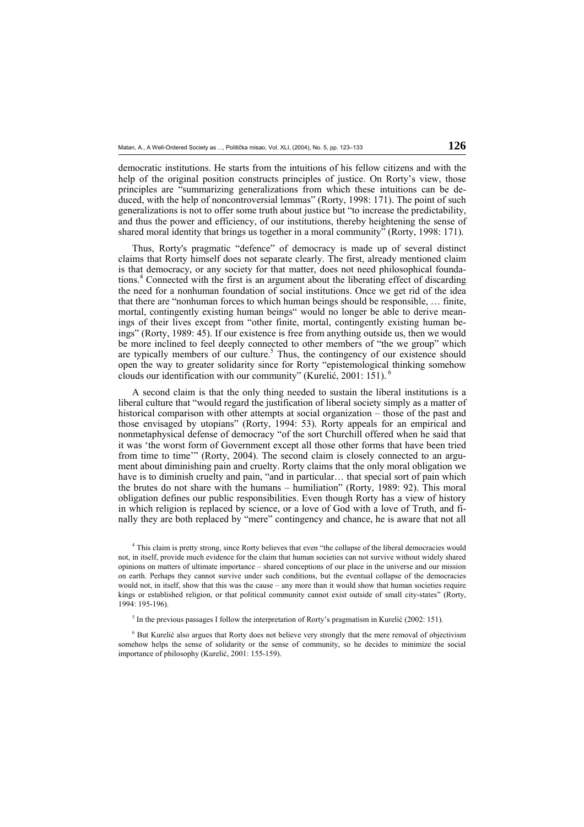democratic institutions. He starts from the intuitions of his fellow citizens and with the help of the original position constructs principles of justice. On Rorty's view, those principles are "summarizing generalizations from which these intuitions can be deduced, with the help of noncontroversial lemmas" (Rorty, 1998: 171). The point of such generalizations is not to offer some truth about justice but "to increase the predictability, and thus the power and efficiency, of our institutions, thereby heightening the sense of shared moral identity that brings us together in a moral community<sup>7</sup> (Rorty, 1998: 171).

 Thus, Rorty's pragmatic "defence" of democracy is made up of several distinct claims that Rorty himself does not separate clearly. The first, already mentioned claim is that democracy, or any society for that matter, does not need philosophical foundations.4 Connected with the first is an argument about the liberating effect of discarding the need for a nonhuman foundation of social institutions. Once we get rid of the idea that there are "nonhuman forces to which human beings should be responsible, … finite, mortal, contingently existing human beings" would no longer be able to derive meanings of their lives except from "other finite, mortal, contingently existing human beings" (Rorty, 1989: 45). If our existence is free from anything outside us, then we would be more inclined to feel deeply connected to other members of "the we group" which are typically members of our culture.<sup>5</sup> Thus, the contingency of our existence should open the way to greater solidarity since for Rorty "epistemological thinking somehow clouds our identification with our community" (Kurelić, 2001: 151).

 A second claim is that the only thing needed to sustain the liberal institutions is a liberal culture that "would regard the justification of liberal society simply as a matter of historical comparison with other attempts at social organization – those of the past and those envisaged by utopians" (Rorty, 1994: 53). Rorty appeals for an empirical and nonmetaphysical defense of democracy "of the sort Churchill offered when he said that it was 'the worst form of Government except all those other forms that have been tried from time to time'" (Rorty, 2004). The second claim is closely connected to an argument about diminishing pain and cruelty. Rorty claims that the only moral obligation we have is to diminish cruelty and pain, "and in particular... that special sort of pain which the brutes do not share with the humans – humiliation" (Rorty, 1989: 92). This moral obligation defines our public responsibilities. Even though Rorty has a view of history in which religion is replaced by science, or a love of God with a love of Truth, and finally they are both replaced by "mere" contingency and chance, he is aware that not all

4 This claim is pretty strong, since Rorty believes that even "the collapse of the liberal democracies would not, in itself, provide much evidence for the claim that human societies can not survive without widely shared opinions on matters of ultimate importance – shared conceptions of our place in the universe and our mission on earth. Perhaps they cannot survive under such conditions, but the eventual collapse of the democracies would not, in itself, show that this was the cause – any more than it would show that human societies require kings or established religion, or that political community cannot exist outside of small city-states" (Rorty, 1994: 195-196).

<sup>5</sup> In the previous passages I follow the interpretation of Rorty's pragmatism in Kurelić (2002: 151).

<sup>6</sup> But Kurelić also argues that Rorty does not believe very strongly that the mere removal of objectivism somehow helps the sense of solidarity or the sense of community, so he decides to minimize the social importance of philosophy (Kurelić, 2001: 155-159).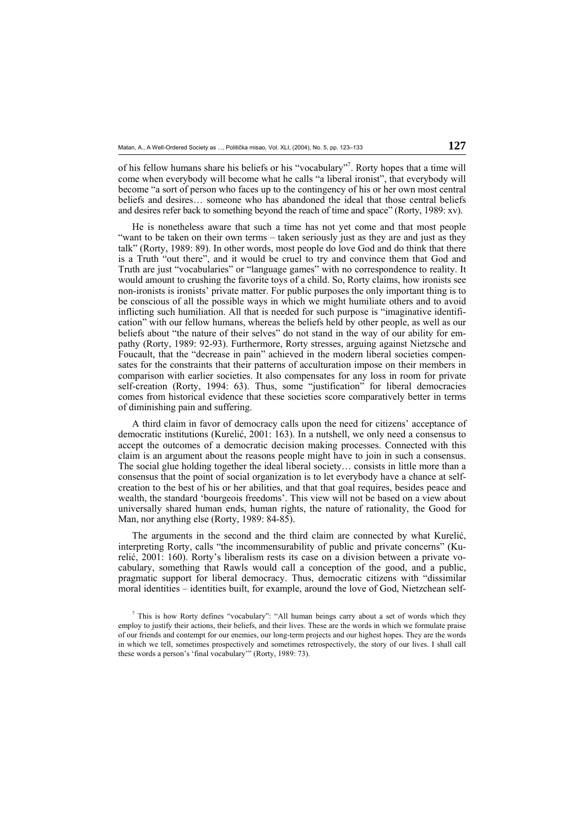of his fellow humans share his beliefs or his "vocabulary"<sup>7</sup>. Rorty hopes that a time will come when everybody will become what he calls "a liberal ironist", that everybody will become "a sort of person who faces up to the contingency of his or her own most central beliefs and desires… someone who has abandoned the ideal that those central beliefs and desires refer back to something beyond the reach of time and space" (Rorty, 1989: xv).

 He is nonetheless aware that such a time has not yet come and that most people "want to be taken on their own terms – taken seriously just as they are and just as they talk" (Rorty, 1989: 89). In other words, most people do love God and do think that there is a Truth "out there", and it would be cruel to try and convince them that God and Truth are just "vocabularies" or "language games" with no correspondence to reality. It would amount to crushing the favorite toys of a child. So, Rorty claims, how ironists see non-ironists is ironists' private matter. For public purposes the only important thing is to be conscious of all the possible ways in which we might humiliate others and to avoid inflicting such humiliation. All that is needed for such purpose is "imaginative identification" with our fellow humans, whereas the beliefs held by other people, as well as our beliefs about "the nature of their selves" do not stand in the way of our ability for empathy (Rorty, 1989: 92-93). Furthermore, Rorty stresses, arguing against Nietzsche and Foucault, that the "decrease in pain" achieved in the modern liberal societies compensates for the constraints that their patterns of acculturation impose on their members in comparison with earlier societies. It also compensates for any loss in room for private self-creation (Rorty, 1994: 63). Thus, some "justification" for liberal democracies comes from historical evidence that these societies score comparatively better in terms of diminishing pain and suffering.

 A third claim in favor of democracy calls upon the need for citizens' acceptance of democratic institutions (Kurelić, 2001: 163). In a nutshell, we only need a consensus to accept the outcomes of a democratic decision making processes. Connected with this claim is an argument about the reasons people might have to join in such a consensus. The social glue holding together the ideal liberal society… consists in little more than a consensus that the point of social organization is to let everybody have a chance at selfcreation to the best of his or her abilities, and that that goal requires, besides peace and wealth, the standard 'bourgeois freedoms'. This view will not be based on a view about universally shared human ends, human rights, the nature of rationality, the Good for Man, nor anything else (Rorty, 1989: 84-85).

 The arguments in the second and the third claim are connected by what Kurelić, interpreting Rorty, calls "the incommensurability of public and private concerns" (Kurelić, 2001: 160). Rorty's liberalism rests its case on a division between a private vocabulary, something that Rawls would call a conception of the good, and a public, pragmatic support for liberal democracy. Thus, democratic citizens with "dissimilar moral identities – identities built, for example, around the love of God, Nietzchean self-

<sup>&</sup>lt;sup>7</sup> This is how Rorty defines "vocabulary": "All human beings carry about a set of words which they employ to justify their actions, their beliefs, and their lives. These are the words in which we formulate praise of our friends and contempt for our enemies, our long-term projects and our highest hopes. They are the words in which we tell, sometimes prospectively and sometimes retrospectively, the story of our lives. I shall call these words a person's 'final vocabulary'" (Rorty, 1989: 73).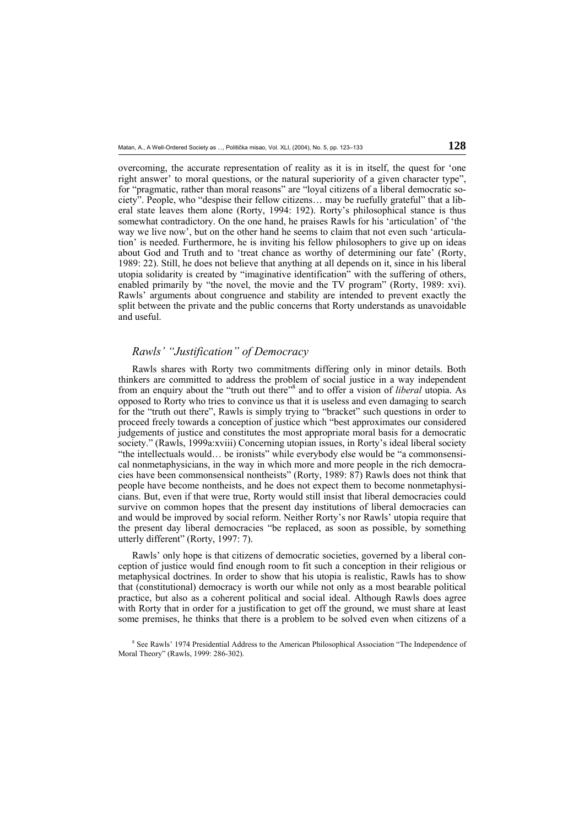overcoming, the accurate representation of reality as it is in itself, the quest for 'one right answer' to moral questions, or the natural superiority of a given character type", for "pragmatic, rather than moral reasons" are "loyal citizens of a liberal democratic society". People, who "despise their fellow citizens… may be ruefully grateful" that a liberal state leaves them alone (Rorty, 1994: 192). Rorty's philosophical stance is thus somewhat contradictory. On the one hand, he praises Rawls for his 'articulation' of 'the way we live now', but on the other hand he seems to claim that not even such 'articulation' is needed. Furthermore, he is inviting his fellow philosophers to give up on ideas about God and Truth and to 'treat chance as worthy of determining our fate' (Rorty, 1989: 22). Still, he does not believe that anything at all depends on it, since in his liberal utopia solidarity is created by "imaginative identification" with the suffering of others, enabled primarily by "the novel, the movie and the TV program" (Rorty, 1989: xvi). Rawls' arguments about congruence and stability are intended to prevent exactly the split between the private and the public concerns that Rorty understands as unavoidable and useful.

# *Rawls' "Justification" of Democracy*

 Rawls shares with Rorty two commitments differing only in minor details. Both thinkers are committed to address the problem of social justice in a way independent from an enquiry about the "truth out there"8 and to offer a vision of *liberal* utopia. As opposed to Rorty who tries to convince us that it is useless and even damaging to search for the "truth out there", Rawls is simply trying to "bracket" such questions in order to proceed freely towards a conception of justice which "best approximates our considered judgements of justice and constitutes the most appropriate moral basis for a democratic society." (Rawls, 1999a:xviii) Concerning utopian issues, in Rorty's ideal liberal society "the intellectuals would… be ironists" while everybody else would be "a commonsensical nonmetaphysicians, in the way in which more and more people in the rich democracies have been commonsensical nontheists" (Rorty, 1989: 87) Rawls does not think that people have become nontheists, and he does not expect them to become nonmetaphysicians. But, even if that were true, Rorty would still insist that liberal democracies could survive on common hopes that the present day institutions of liberal democracies can and would be improved by social reform. Neither Rorty's nor Rawls' utopia require that the present day liberal democracies "be replaced, as soon as possible, by something utterly different" (Rorty, 1997: 7).

 Rawls' only hope is that citizens of democratic societies, governed by a liberal conception of justice would find enough room to fit such a conception in their religious or metaphysical doctrines. In order to show that his utopia is realistic, Rawls has to show that (constitutional) democracy is worth our while not only as a most bearable political practice, but also as a coherent political and social ideal. Although Rawls does agree with Rorty that in order for a justification to get off the ground, we must share at least some premises, he thinks that there is a problem to be solved even when citizens of a

<sup>8</sup> See Rawls' 1974 Presidential Address to the American Philosophical Association "The Independence of Moral Theory" (Rawls, 1999: 286-302).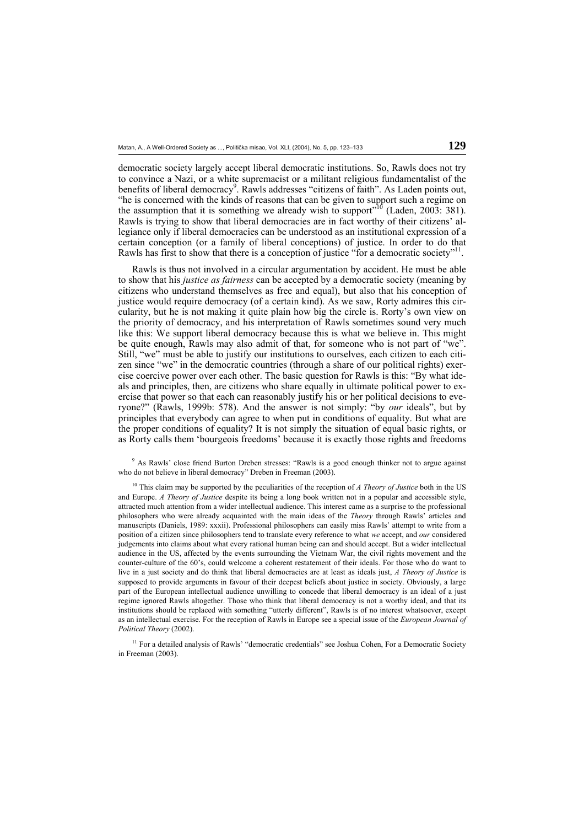democratic society largely accept liberal democratic institutions. So, Rawls does not try to convince a Nazi, or a white supremacist or a militant religious fundamentalist of the benefits of liberal democracy<sup>9</sup>. Rawls addresses "citizens of faith". As Laden points out, "he is concerned with the kinds of reasons that can be given to support such a regime on the assumption that it is something we already wish to support<sup>310</sup> (Laden, 2003: 381). Rawls is trying to show that liberal democracies are in fact worthy of their citizens' allegiance only if liberal democracies can be understood as an institutional expression of a certain conception (or a family of liberal conceptions) of justice. In order to do that Rawls has first to show that there is a conception of justice "for a democratic society"<sup>1</sup>

 Rawls is thus not involved in a circular argumentation by accident. He must be able to show that his *justice as fairness* can be accepted by a democratic society (meaning by citizens who understand themselves as free and equal), but also that his conception of justice would require democracy (of a certain kind). As we saw, Rorty admires this circularity, but he is not making it quite plain how big the circle is. Rorty's own view on the priority of democracy, and his interpretation of Rawls sometimes sound very much like this: We support liberal democracy because this is what we believe in. This might be quite enough, Rawls may also admit of that, for someone who is not part of "we". Still, "we" must be able to justify our institutions to ourselves, each citizen to each citizen since "we" in the democratic countries (through a share of our political rights) exercise coercive power over each other. The basic question for Rawls is this: "By what ideals and principles, then, are citizens who share equally in ultimate political power to exercise that power so that each can reasonably justify his or her political decisions to everyone?" (Rawls, 1999b: 578). And the answer is not simply: "by *our* ideals", but by principles that everybody can agree to when put in conditions of equality. But what are the proper conditions of equality? It is not simply the situation of equal basic rights, or as Rorty calls them 'bourgeois freedoms' because it is exactly those rights and freedoms

9 As Rawls' close friend Burton Dreben stresses: "Rawls is a good enough thinker not to argue against who do not believe in liberal democracy" Dreben in Freeman (2003).

<sup>10</sup> This claim may be supported by the peculiarities of the reception of *A Theory of Justice* both in the US and Europe. *A Theory of Justice* despite its being a long book written not in a popular and accessible style, attracted much attention from a wider intellectual audience. This interest came as a surprise to the professional philosophers who were already acquainted with the main ideas of the *Theory* through Rawls' articles and manuscripts (Daniels, 1989: xxxii). Professional philosophers can easily miss Rawls' attempt to write from a position of a citizen since philosophers tend to translate every reference to what *we* accept, and *our* considered judgements into claims about what every rational human being can and should accept. But a wider intellectual audience in the US, affected by the events surrounding the Vietnam War, the civil rights movement and the counter-culture of the 60's, could welcome a coherent restatement of their ideals. For those who do want to live in a just society and do think that liberal democracies are at least as ideals just, *A Theory of Justice* is supposed to provide arguments in favour of their deepest beliefs about justice in society. Obviously, a large part of the European intellectual audience unwilling to concede that liberal democracy is an ideal of a just regime ignored Rawls altogether. Those who think that liberal democracy is not a worthy ideal, and that its institutions should be replaced with something "utterly different", Rawls is of no interest whatsoever, except as an intellectual exercise. For the reception of Rawls in Europe see a special issue of the *European Journal of Political Theory* (2002).

<sup>11</sup> For a detailed analysis of Rawls' "democratic credentials" see Joshua Cohen, For a Democratic Society in Freeman (2003).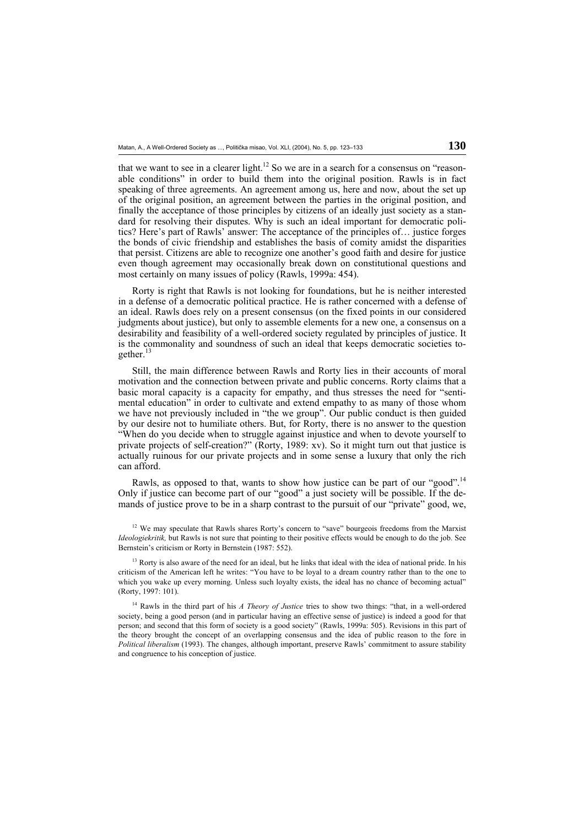that we want to see in a clearer light.<sup>12</sup> So we are in a search for a consensus on "reasonable conditions" in order to build them into the original position. Rawls is in fact speaking of three agreements. An agreement among us, here and now, about the set up of the original position, an agreement between the parties in the original position, and finally the acceptance of those principles by citizens of an ideally just society as a standard for resolving their disputes. Why is such an ideal important for democratic politics? Here's part of Rawls' answer: The acceptance of the principles of… justice forges the bonds of civic friendship and establishes the basis of comity amidst the disparities that persist. Citizens are able to recognize one another's good faith and desire for justice even though agreement may occasionally break down on constitutional questions and most certainly on many issues of policy (Rawls, 1999a: 454).

 Rorty is right that Rawls is not looking for foundations, but he is neither interested in a defense of a democratic political practice. He is rather concerned with a defense of an ideal. Rawls does rely on a present consensus (on the fixed points in our considered judgments about justice), but only to assemble elements for a new one, a consensus on a desirability and feasibility of a well-ordered society regulated by principles of justice. It is the commonality and soundness of such an ideal that keeps democratic societies together. $13$ 

 Still, the main difference between Rawls and Rorty lies in their accounts of moral motivation and the connection between private and public concerns. Rorty claims that a basic moral capacity is a capacity for empathy, and thus stresses the need for "sentimental education" in order to cultivate and extend empathy to as many of those whom we have not previously included in "the we group". Our public conduct is then guided by our desire not to humiliate others. But, for Rorty, there is no answer to the question "When do you decide when to struggle against injustice and when to devote yourself to private projects of self-creation?" (Rorty, 1989: xv). So it might turn out that justice is actually ruinous for our private projects and in some sense a luxury that only the rich can afford.

Rawls, as opposed to that, wants to show how justice can be part of our "good".<sup>14</sup> Only if justice can become part of our "good" a just society will be possible. If the demands of justice prove to be in a sharp contrast to the pursuit of our "private" good, we,

<sup>&</sup>lt;sup>12</sup> We may speculate that Rawls shares Rorty's concern to "save" bourgeois freedoms from the Marxist *Ideologiekritik*, but Rawls is not sure that pointing to their positive effects would be enough to do the job. See Bernstein's criticism or Rorty in Bernstein (1987: 552).

 $13$  Rorty is also aware of the need for an ideal, but he links that ideal with the idea of national pride. In his criticism of the American left he writes: "You have to be loyal to a dream country rather than to the one to which you wake up every morning. Unless such loyalty exists, the ideal has no chance of becoming actual" (Rorty, 1997: 101).

<sup>&</sup>lt;sup>14</sup> Rawls in the third part of his *A Theory of Justice* tries to show two things: "that, in a well-ordered society, being a good person (and in particular having an effective sense of justice) is indeed a good for that person; and second that this form of society is a good society" (Rawls, 1999a: 505). Revisions in this part of the theory brought the concept of an overlapping consensus and the idea of public reason to the fore in *Political liberalism* (1993). The changes, although important, preserve Rawls' commitment to assure stability and congruence to his conception of justice.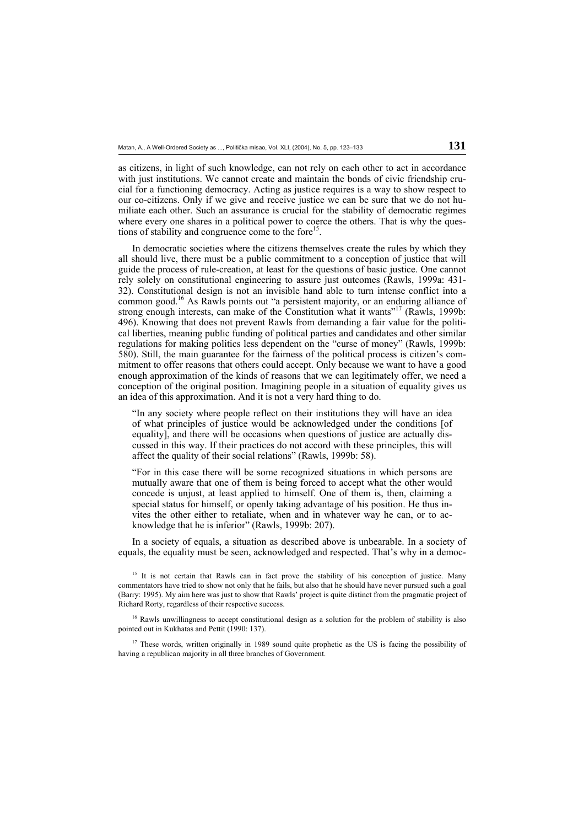as citizens, in light of such knowledge, can not rely on each other to act in accordance with just institutions. We cannot create and maintain the bonds of civic friendship crucial for a functioning democracy. Acting as justice requires is a way to show respect to our co-citizens. Only if we give and receive justice we can be sure that we do not humiliate each other. Such an assurance is crucial for the stability of democratic regimes where every one shares in a political power to coerce the others. That is why the questions of stability and congruence come to the fore<sup>15</sup>.

 In democratic societies where the citizens themselves create the rules by which they all should live, there must be a public commitment to a conception of justice that will guide the process of rule-creation, at least for the questions of basic justice. One cannot rely solely on constitutional engineering to assure just outcomes (Rawls, 1999a: 431- 32). Constitutional design is not an invisible hand able to turn intense conflict into a common good.16 As Rawls points out "a persistent majority, or an enduring alliance of strong enough interests, can make of the Constitution what it wants"17 (Rawls, 1999b: 496). Knowing that does not prevent Rawls from demanding a fair value for the political liberties, meaning public funding of political parties and candidates and other similar regulations for making politics less dependent on the "curse of money" (Rawls, 1999b: 580). Still, the main guarantee for the fairness of the political process is citizen's commitment to offer reasons that others could accept. Only because we want to have a good enough approximation of the kinds of reasons that we can legitimately offer, we need a conception of the original position. Imagining people in a situation of equality gives us an idea of this approximation. And it is not a very hard thing to do.

"In any society where people reflect on their institutions they will have an idea of what principles of justice would be acknowledged under the conditions [of equality], and there will be occasions when questions of justice are actually discussed in this way. If their practices do not accord with these principles, this will affect the quality of their social relations" (Rawls, 1999b: 58).

"For in this case there will be some recognized situations in which persons are mutually aware that one of them is being forced to accept what the other would concede is unjust, at least applied to himself. One of them is, then, claiming a special status for himself, or openly taking advantage of his position. He thus invites the other either to retaliate, when and in whatever way he can, or to acknowledge that he is inferior" (Rawls, 1999b: 207).

 In a society of equals, a situation as described above is unbearable. In a society of equals, the equality must be seen, acknowledged and respected. That's why in a democ-

<sup>15</sup> It is not certain that Rawls can in fact prove the stability of his conception of justice. Many commentators have tried to show not only that he fails, but also that he should have never pursued such a goal (Barry: 1995). My aim here was just to show that Rawls' project is quite distinct from the pragmatic project of Richard Rorty, regardless of their respective success.

<sup>16</sup> Rawls unwillingness to accept constitutional design as a solution for the problem of stability is also pointed out in Kukhatas and Pettit (1990: 137).

 $17$  These words, written originally in 1989 sound quite prophetic as the US is facing the possibility of having a republican majority in all three branches of Government.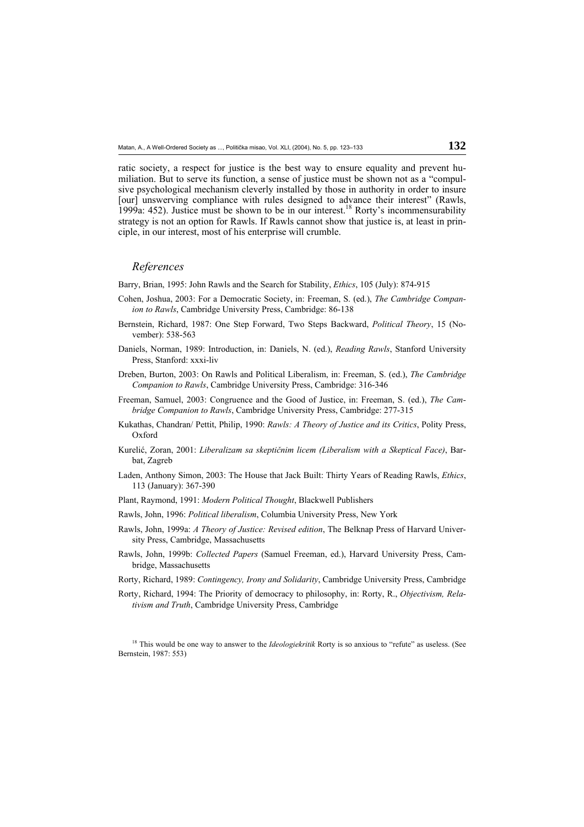ratic society, a respect for justice is the best way to ensure equality and prevent humiliation. But to serve its function, a sense of justice must be shown not as a "compulsive psychological mechanism cleverly installed by those in authority in order to insure [our] unswerving compliance with rules designed to advance their interest" (Rawls, 1999a: 452). Justice must be shown to be in our interest.<sup>18</sup> Rorty's incommensurability strategy is not an option for Rawls. If Rawls cannot show that justice is, at least in principle, in our interest, most of his enterprise will crumble.

### *References*

Barry, Brian, 1995: John Rawls and the Search for Stability, *Ethics*, 105 (July): 874-915

- Cohen, Joshua, 2003: For a Democratic Society, in: Freeman, S. (ed.), *The Cambridge Companion to Rawls*, Cambridge University Press, Cambridge: 86-138
- Bernstein, Richard, 1987: One Step Forward, Two Steps Backward, *Political Theory*, 15 (November): 538-563
- Daniels, Norman, 1989: Introduction, in: Daniels, N. (ed.), *Reading Rawls*, Stanford University Press, Stanford: xxxi-liv
- Dreben, Burton, 2003: On Rawls and Political Liberalism, in: Freeman, S. (ed.), *The Cambridge Companion to Rawls*, Cambridge University Press, Cambridge: 316-346
- Freeman, Samuel, 2003: Congruence and the Good of Justice, in: Freeman, S. (ed.), *The Cambridge Companion to Rawls*, Cambridge University Press, Cambridge: 277-315
- Kukathas, Chandran/ Pettit, Philip, 1990: *Rawls: A Theory of Justice and its Critics*, Polity Press, Oxford
- Kurelić, Zoran, 2001: *Liberalizam sa skeptičnim licem (Liberalism with a Skeptical Face)*, Barbat, Zagreb
- Laden, Anthony Simon, 2003: The House that Jack Built: Thirty Years of Reading Rawls, *Ethics*, 113 (January): 367-390
- Plant, Raymond, 1991: *Modern Political Thought*, Blackwell Publishers
- Rawls, John, 1996: *Political liberalism*, Columbia University Press, New York
- Rawls, John, 1999a: *A Theory of Justice: Revised edition*, The Belknap Press of Harvard University Press, Cambridge, Massachusetts
- Rawls, John, 1999b: *Collected Papers* (Samuel Freeman, ed.), Harvard University Press, Cambridge, Massachusetts
- Rorty, Richard, 1989: *Contingency, Irony and Solidarity*, Cambridge University Press, Cambridge
- Rorty, Richard, 1994: The Priority of democracy to philosophy, in: Rorty, R., *Objectivism, Relativism and Truth*, Cambridge University Press, Cambridge

<sup>18</sup> This would be one way to answer to the *Ideologiekritik* Rorty is so anxious to "refute" as useless. (See Bernstein, 1987: 553)